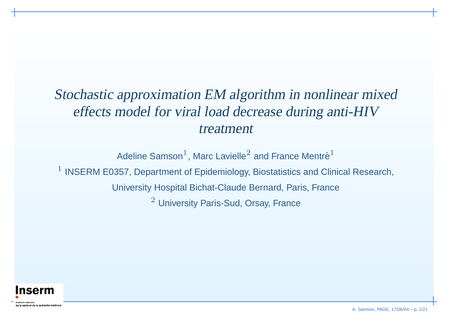# Stochastic approximation EM algorithm in nonlinear mixed effects model for viral load decrease during anti-HIV treatment

Adeline Samson $^1$ , Marc Lavielle $^2$  and France Mentré $^1$ 

 $1$  INSERM E0357, Department of Epidemiology, Biostatistics and Clinical Research,

University Hospital Bichat-Claude Bernard, Paris, France

 $^2$  University Paris-Sud, Orsay, France

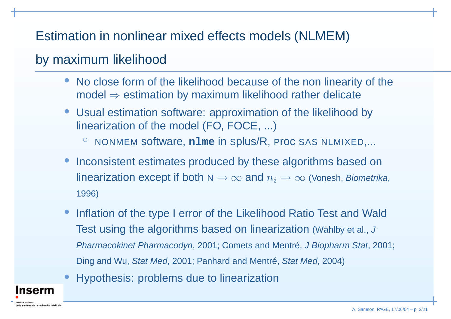# Estimation in nonlinear mixed effects models (NLMEM)

# by maximum likelihood

nserm

la santé et de la recherche médicale

- • No close form of the likelihood because of the non linearity of the model  $\Rightarrow$  estimation by maximum likelihood rather delicate
- • Usual estimation software: approximation of the likelihood by linearization of the model (FO, FOCE, ...)
	- ◦ $\circ$  NONMEM software, n1me in Splus/R, Proc SAS NLMIXED,...
- •• Inconsistent estimates produced by these algorithms based on linearization except if both  ${\sf N} \to \infty$  and  $n_i \to \infty$  (Vonesh, *Biometrika*, 1996)
- •• Inflation of the type I error of the Likelihood Ratio Test and Wald Test using the algorithms based on linearization (Wählby et al., J Pharmacokinet Pharmacodyn, 2001; Comets and Mentré, J Biopharm Stat, 2001; Ding and Wu, Stat Med, 2001; Panhard and Mentré, Stat Med, 2004)
- •Hypothesis: problems due to linearization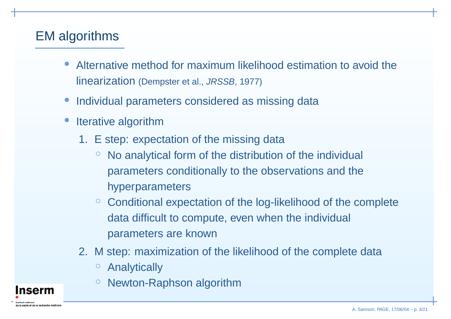# EM algorithms

nserm

e la santé et de la recherche médicale

- • Alternative method for maximum likelihood estimation to avoid the linearization (Dempster et al., JRSSB, 1977)
- •Individual parameters considered as missing data
- •• Iterative algorithm
	- 1. E step: expectation of the missing data
		- $\circ$  $\degree$  No analytical form of the distribution of the individual parameters conditionally to the observations and the hyperparameters
		- ◦ Conditional expectation of the log-likelihood of the complete data difficult to compute, even when the individual parameters are known
	- 2. M step: maximization of the likelihood of the complete data
		- $\circ$ Analytically
		- ◦Newton-Raphson algorithm

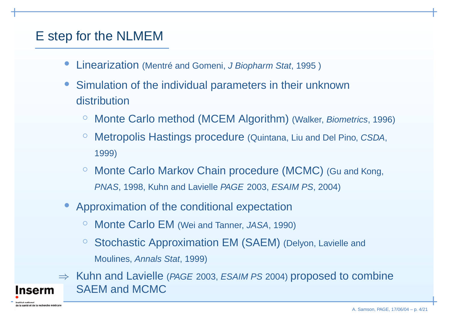# E step for the NLMEM

**nserm** 

e la santé et de la recherche médicale

- •**• Linearization** (Mentré and Gomeni, J Biopharm Stat, 1995)
- • Simulation of the individual parameters in their unknown distribution
	- ◦Monte Carlo method (MCEM Algorithm) (Walker, Biometrics, 1996)
	- ◦ Metropolis Hastings procedure (Quintana, Liu and Del Pino, CSDA, 1999)
	- $\circ$  Monte Carlo Markov Chain procedure (MCMC) (Gu and Kong, PNAS, 1998, Kuhn and Lavielle PAGE 2003, ESAIM PS, 2004)
- • Approximation of the conditional expectation
	- $\circ$ Monte Carlo EM (Wei and Tanner, JASA, 1990)
	- $\circ$  $\,^\circ$  Stochastic Approximation EM (SAEM) (Delyon, Lavielle and Moulines, Annals Stat, 1999)
- $\Rightarrow$  Kuhn and Lavielle (*PAGE* 2003, *ESAIM PS* 2004) proposed to combine SAEM and MCMC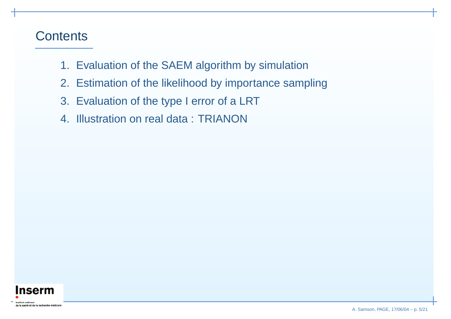#### **Contents**

- 1. Evaluation of the SAEM algorithm by simulation
- 2. Estimation of the likelihood by importance sampling
- 3. Evaluation of the type I error of <sup>a</sup> LRT
- 4. Illustration on real data : TRIANON

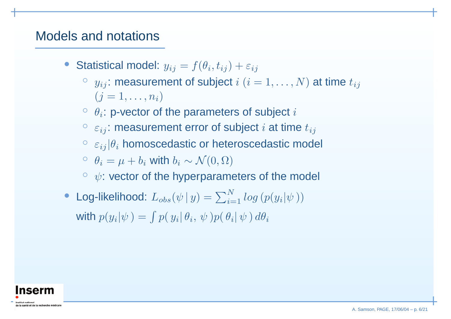#### Models and notations

- Statistical model:  $y_{ij} = f(\theta_i, t_{ij}) + \varepsilon_{ij}$ 
	- $\circ \;\; y_{ij} \colon \mathsf{measurement}$  of subject  $i \;(i = 1, \ldots, N)$  at time  $t_{ij}$  $(j = 1, \ldots, n_i)$
	- $\circ$   $\theta_i$ : p-vector of the parameters of subject  $i$
	- $^{\circ}$   $\varepsilon_{ij}$ : measurement error of subject  $i$  at time  $t_{ij}$
	- $^{\circ}$   $\varepsilon_{ij}|\theta_i$  homoscedastic or heteroscedastic model
	- $^{\circ}$   $\theta_i = \mu + b_i$  with  $b_i \sim \mathcal{N}(0, \Omega)$
	- $\degree\ \psi$ : vector of the hyperparameters of the model
- Log-likelihood:  $L_{obs}(\psi \,|\, y) = \sum_{i=1}^{N} log\left(p(y_i|\psi\,)\right)$ with  $p(y_i|\psi) = \int p(\,y_i|\, \theta_i, \, \psi \,) p(\, \theta_i|\, \psi \,) \, d\theta_i$

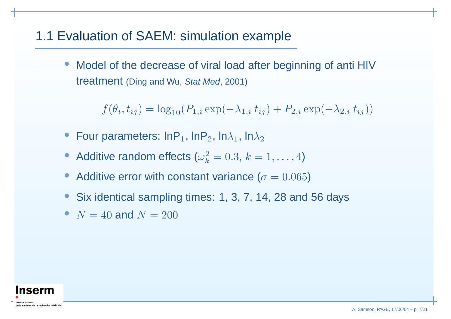### 1.1 Evaluation of SAEM: simulation example

• Model of the decrease of viral load after beginning of anti HIV treatment (Ding and Wu, Stat Med, 2001)

 $f(\theta_i,t_{ij}) = \log_{10}(P_{1,i} \exp(-\lambda_{1,i} t_{ij}) + P_{2,i} \exp(-\lambda_{2,i} t_{ij}))$ 

- •• Four parameters: lnP<sub>1</sub>, lnP<sub>2</sub>, ln $\lambda_1$ , ln $\lambda_2$
- Additive random effects ( $\omega_k^2 = 0.3, k = 1, \ldots, 4$ )
- •• Additive error with constant variance  $(\sigma = 0.065)$
- •• Six identical sampling times: 1, 3, 7, 14, 28 and 56 days
- $N = 40$  and  $N = 200$

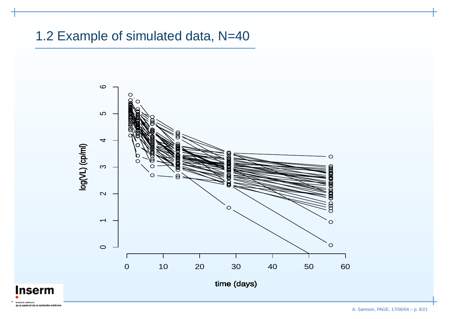#### 1.2 Example of simulated data, N=40

**Inserm** 

etitut nationa



A. Samson, PAGE, 17/06/04 – p. 8/21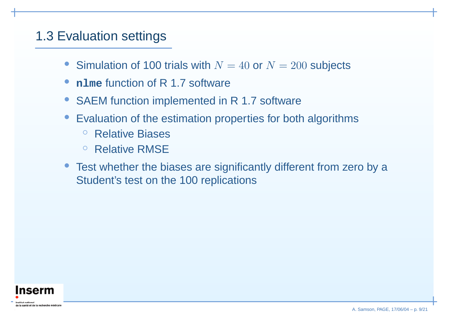# 1.3 Evaluation settings

- Simulation of 100 trials with  $N = 40$  or  $N = 200$  subjects
- •**nlme** function of R 1.7 software
- SAEM function implemented in R 1.7 software
- Evaluation of the estimation properties for both algorithms
	- $\circ$ ○ Relative Biases
	- $\circ$ ○ Relative RMSE
- Test whether the biases are significantly different from zero by <sup>a</sup> Student's test on the 100 replications

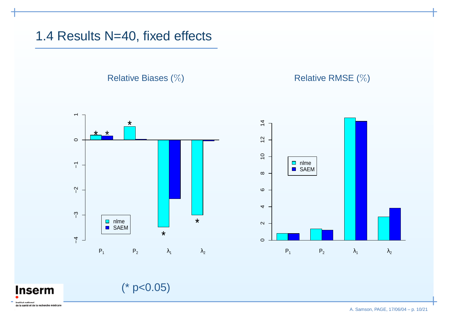1.4 Results N=40, fixed effects

**Relative Biases (%)** 







(\* p<0.05)

etitut nationa de la santé et de la recherche médicale

**Inserm**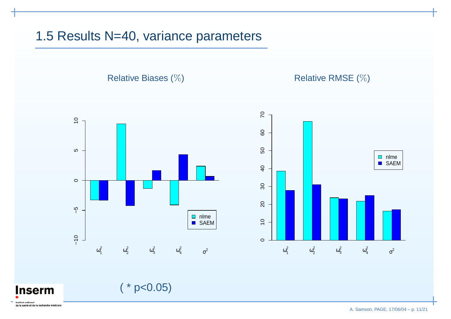#### 1.5 Results N=40, variance parameters

**Relative Biases (%)** 





Relative RMSE (%)

 $(* p<0.05)$ 

**Inserm** etitut nationa de la santé et de la recherche médicale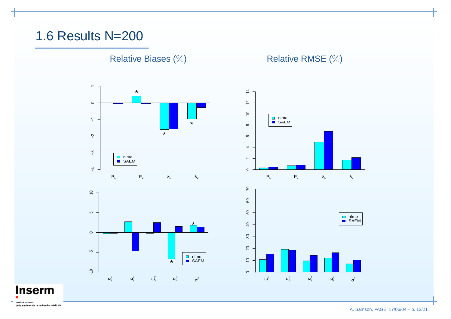#### 1.6 Results N=200

**Relative Biases (%)** 

Relative RMSE (%)





**Inserm** 

de la santé et de la recherche médicale

Inetitut national

A. Samson, PAGE, 17/06/04 – p. 12/21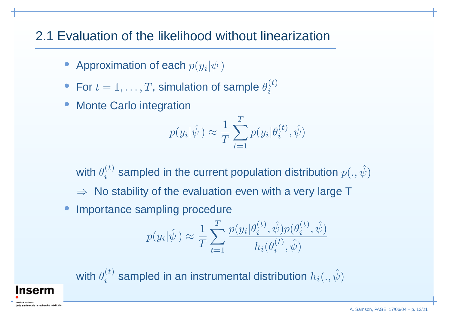# 2.1 Evaluation of the likelihood without linearization

- $\bullet~$  Approximation of each  $p(y_i|\psi\,)$
- For  $t = 1, \ldots, T$ , simulation of sample  $\theta_i^{(t)}$
- Monte Carlo integration

**nserm** 

$$
p(y_i|\hat{\psi}) \approx \frac{1}{T} \sum_{t=1}^{T} p(y_i|\theta_i^{(t)}, \hat{\psi})
$$

with  $\theta_i^{(t)}$  sampled in the current population distribution  $p(.,\hat{\psi})$  $\Rightarrow$  No stability of the evaluation even with a very large T

•Importance sampling procedure

$$
p(y_i|\hat{\psi}) \approx \frac{1}{T} \sum_{t=1}^{T} \frac{p(y_i|\theta_i^{(t)}, \hat{\psi}) p(\theta_i^{(t)}, \hat{\psi})}{h_i(\theta_i^{(t)}, \hat{\psi})}
$$

with  $\theta^{(t)}_i$  sampled in an instrumental distribution  $h_i(.,\hat{\psi})$ 

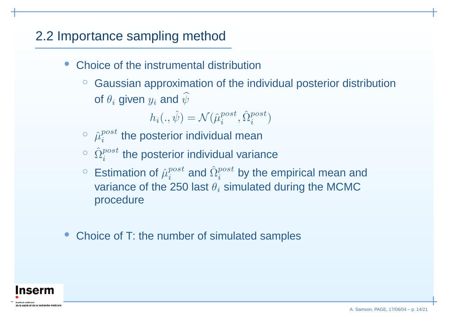# 2.2 Importance sampling method

- •• Choice of the instrumental distribution
	- ◦ $\,^\circ$  Gaussian approximation of the individual posterior distribution of  $\theta_i$  given  $y_i$  and  $\widehat{\psi}$

 $h_i(.,\hat{\psi}$  $) = \mathcal{N}(\hat{\mu}^{post}_i, \hat{\Omega}^{post}_i)$ 

- $\circ \;\; \hat{\mu}^{post}_i$  the posterior individual mean
- $^{\circ}$   $\,$   $\Omega$  $\hat{\Omega}^{post}$  $i^{post}_{i}$  the posterior individual variance
- $\circ~$  Estimation of  $\hat{\mu}^{post}_i$  and  $\hat{\Omega}^{post}_i$  by the empirical mean and variance of the 250 last  $\theta_i$  simulated during the MCMC procedure
- •• Choice of T: the number of simulated samples

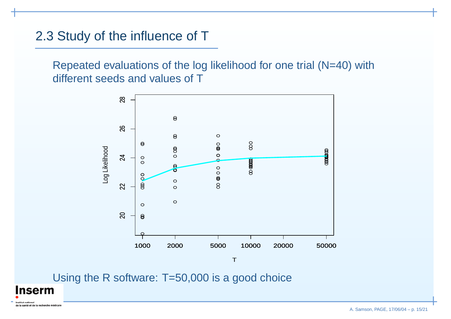### 2.3 Study of the influence of T

**Inserm** 

de la santé et de la recherche médicale

Repeated evaluations of the log likelihood for one trial (N=40) with different seeds and values of T



Using the R software: T=50,000 is <sup>a</sup> good choice

A. Samson, PAGE, 17/06/04 – p. 15/21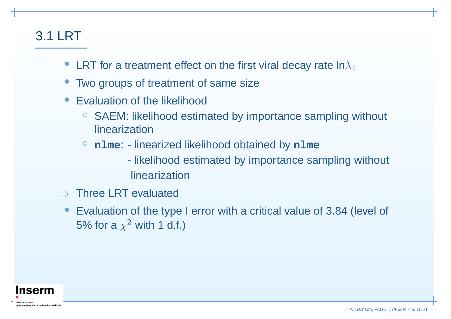# 3.1 LRT

- LRT for a treatment effect on the first viral decay rate  $\mathsf{In}\lambda_1$
- •• Two groups of treatment of same size
- Evaluation of the likelihood
	- $\circ$  $\circ$  SAEM: likelihood estimated by importance sampling without linearization
	- ◦ **nlme**: - linearized likelihood obtained by **nlme**
		- likelihood estimated by importance sampling without linearization
- $\Rightarrow$  Three LRT evaluated
- $\bullet$  Evaluation of the type I error with <sup>a</sup> critical value of 3.84 (level of 5% for a  $\chi^2$  with 1 d.f.)

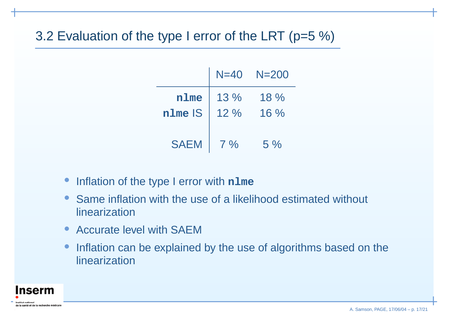# 3.2 Evaluation of the type I error of the LRT (p=5 %)

|             | $N=40$ | $N = 200$ |
|-------------|--------|-----------|
| nlme        | $13\%$ | $18\%$    |
| nlme IS     | $12\%$ | $16\%$    |
| <b>SAEM</b> | $7\%$  | $5\%$     |

- $\bullet$ **• Inflation of the type I error with nlme**
- Same inflation with the use of a likelihood estimated without linearization
- Accurate level with SAEM
- •• Inflation can be explained by the use of algorithms based on the linearization

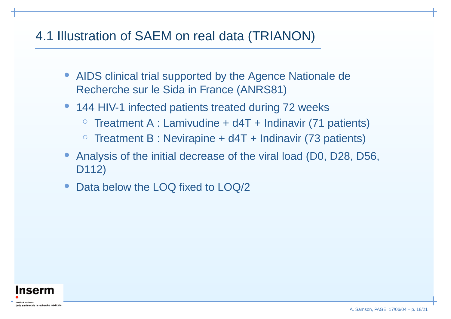# 4.1 Illustration of SAEM on real data (TRIANON)

- AIDS clinical trial supported by the Agence Nationale de Recherche sur le Sida in France (ANRS81)
- 144 HIV-1 infected patients treated during 72 weeks
	- $\bigcirc$  $\,^\circ$  Treatment A : Lamivudine + d4T + Indinavir (71 patients)
	- $\circ$  $\,^\circ$  Treatment B : Nevirapine + d4T + Indinavir (73 patients)
- Analysis of the initial decrease of the viral load (D0, D28, D56, D112)
- •• Data below the LOQ fixed to LOQ/2

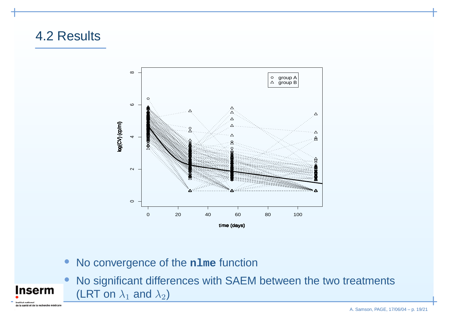## 4.2 Results

**Inserm** 

de la santé et de la recherche médicale



- No convergence of the **nlme** function
- • No significant differences with SAEM between the two treatments (LRT on  $\lambda_1$  and  $\lambda_2$ )

A. Samson, PAGE, 17/06/04 – p. 19/21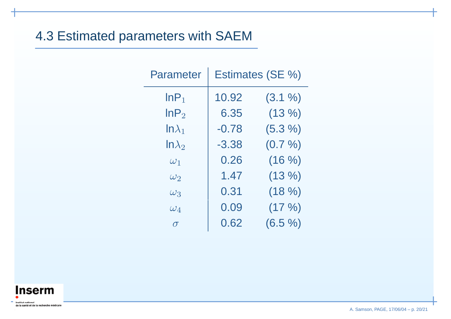# 4.3 Estimated parameters with SAEM

| Parameter        | Estimates (SE %) |           |
|------------------|------------------|-----------|
| InP <sub>1</sub> | 10.92            | (3.1 %)   |
| $\mathsf{InP}_2$ | 6.35             | (13%)     |
| $ln\lambda_1$    | $-0.78$          | (5.3 %)   |
| $ln \lambda_2$   | -3.38            | (0.7 %)   |
| $\omega_1$       | 0.26             | (16 %)    |
| $\omega_2$       | 1.47             | (13%)     |
| $\omega_3$       | 0.31             | (18%)     |
| $\omega_4$       | 0.09             | $(17 \%)$ |
| $\sigma$         | 0.62             | (6.5 %)   |



A. Samson, PAGE, 17/06/04 – p. 20/21